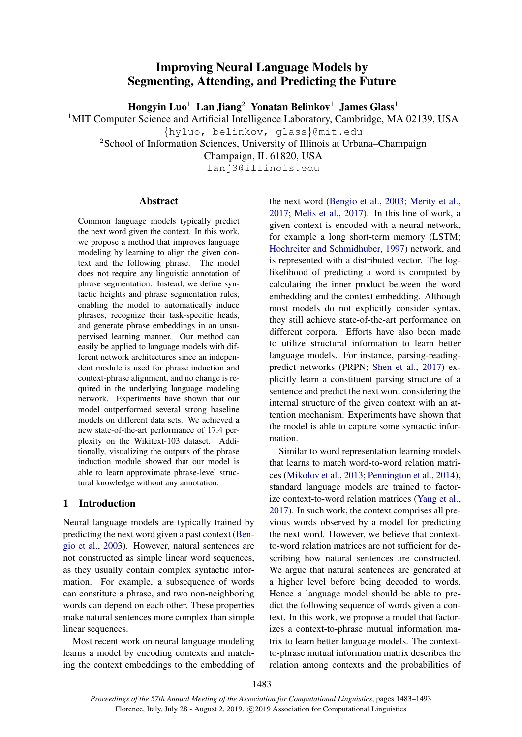# Improving Neural Language Models by Segmenting, Attending, and Predicting the Future

Hongyin Luo<sup>1</sup> Lan Jiang<sup>2</sup> Yonatan Belinkov<sup>1</sup> James Glass<sup>1</sup>

<sup>1</sup>MIT Computer Science and Artificial Intelligence Laboratory, Cambridge, MA 02139, USA

{hyluo, belinkov, glass}@mit.edu

<sup>2</sup>School of Information Sciences, University of Illinois at Urbana–Champaign

Champaign, IL 61820, USA

lanj3@illinois.edu

## Abstract

Common language models typically predict the next word given the context. In this work, we propose a method that improves language modeling by learning to align the given context and the following phrase. The model does not require any linguistic annotation of phrase segmentation. Instead, we define syntactic heights and phrase segmentation rules, enabling the model to automatically induce phrases, recognize their task-specific heads, and generate phrase embeddings in an unsupervised learning manner. Our method can easily be applied to language models with different network architectures since an independent module is used for phrase induction and context-phrase alignment, and no change is required in the underlying language modeling network. Experiments have shown that our model outperformed several strong baseline models on different data sets. We achieved a new state-of-the-art performance of 17.4 perplexity on the Wikitext-103 dataset. Additionally, visualizing the outputs of the phrase induction module showed that our model is able to learn approximate phrase-level structural knowledge without any annotation.

## 1 Introduction

Neural language models are typically trained by predicting the next word given a past context [\(Ben](#page-8-0)[gio et al.,](#page-8-0) [2003\)](#page-8-0). However, natural sentences are not constructed as simple linear word sequences, as they usually contain complex syntactic information. For example, a subsequence of words can constitute a phrase, and two non-neighboring words can depend on each other. These properties make natural sentences more complex than simple linear sequences.

Most recent work on neural language modeling learns a model by encoding contexts and matching the context embeddings to the embedding of the next word [\(Bengio et al.,](#page-8-0) [2003;](#page-8-0) [Merity et al.,](#page-9-0) [2017;](#page-9-0) [Melis et al.,](#page-9-1) [2017\)](#page-9-1). In this line of work, a given context is encoded with a neural network, for example a long short-term memory (LSTM; [Hochreiter and Schmidhuber,](#page-9-2) [1997\)](#page-9-2) network, and is represented with a distributed vector. The loglikelihood of predicting a word is computed by calculating the inner product between the word embedding and the context embedding. Although most models do not explicitly consider syntax, they still achieve state-of-the-art performance on different corpora. Efforts have also been made to utilize structural information to learn better language models. For instance, parsing-readingpredict networks (PRPN; [Shen et al.,](#page-9-3) [2017\)](#page-9-3) explicitly learn a constituent parsing structure of a sentence and predict the next word considering the internal structure of the given context with an attention mechanism. Experiments have shown that the model is able to capture some syntactic information.

Similar to word representation learning models that learns to match word-to-word relation matrices [\(Mikolov et al.,](#page-9-4) [2013;](#page-9-4) [Pennington et al.,](#page-9-5) [2014\)](#page-9-5), standard language models are trained to factorize context-to-word relation matrices [\(Yang et al.,](#page-9-6) [2017\)](#page-9-6). In such work, the context comprises all previous words observed by a model for predicting the next word. However, we believe that contextto-word relation matrices are not sufficient for describing how natural sentences are constructed. We argue that natural sentences are generated at a higher level before being decoded to words. Hence a language model should be able to predict the following sequence of words given a context. In this work, we propose a model that factorizes a context-to-phrase mutual information matrix to learn better language models. The contextto-phrase mutual information matrix describes the relation among contexts and the probabilities of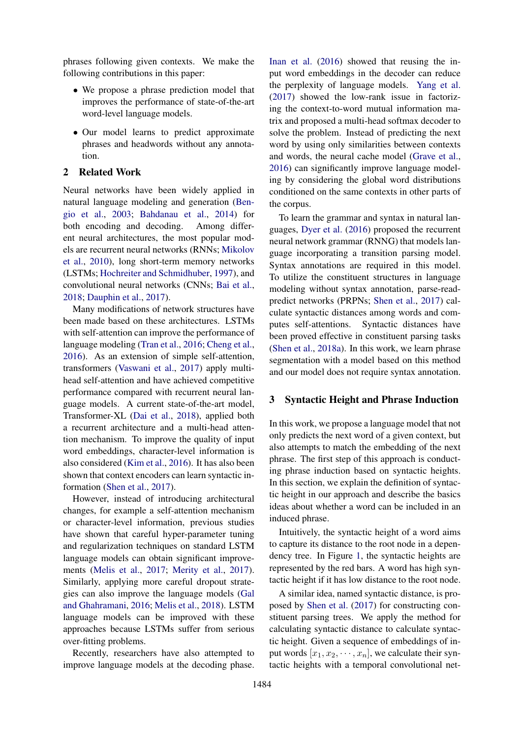phrases following given contexts. We make the following contributions in this paper:

- We propose a phrase prediction model that improves the performance of state-of-the-art word-level language models.
- Our model learns to predict approximate phrases and headwords without any annotation.

## 2 Related Work

Neural networks have been widely applied in natural language modeling and generation [\(Ben](#page-8-0)[gio et al.,](#page-8-0) [2003;](#page-8-0) [Bahdanau et al.,](#page-8-1) [2014\)](#page-8-1) for both encoding and decoding. Among different neural architectures, the most popular models are recurrent neural networks (RNNs; [Mikolov](#page-9-7) [et al.,](#page-9-7) [2010\)](#page-9-7), long short-term memory networks (LSTMs; [Hochreiter and Schmidhuber,](#page-9-2) [1997\)](#page-9-2), and convolutional neural networks (CNNs; [Bai et al.,](#page-8-2) [2018;](#page-8-2) [Dauphin et al.,](#page-9-8) [2017\)](#page-9-8).

Many modifications of network structures have been made based on these architectures. LSTMs with self-attention can improve the performance of language modeling [\(Tran et al.,](#page-9-9) [2016;](#page-9-9) [Cheng et al.,](#page-8-3) [2016\)](#page-8-3). As an extension of simple self-attention, transformers [\(Vaswani et al.,](#page-9-10) [2017\)](#page-9-10) apply multihead self-attention and have achieved competitive performance compared with recurrent neural language models. A current state-of-the-art model, Transformer-XL [\(Dai et al.,](#page-9-11) [2018\)](#page-9-11), applied both a recurrent architecture and a multi-head attention mechanism. To improve the quality of input word embeddings, character-level information is also considered [\(Kim et al.,](#page-9-12) [2016\)](#page-9-12). It has also been shown that context encoders can learn syntactic information [\(Shen et al.,](#page-9-3) [2017\)](#page-9-3).

However, instead of introducing architectural changes, for example a self-attention mechanism or character-level information, previous studies have shown that careful hyper-parameter tuning and regularization techniques on standard LSTM language models can obtain significant improvements [\(Melis et al.,](#page-9-1) [2017;](#page-9-1) [Merity et al.,](#page-9-0) [2017\)](#page-9-0). Similarly, applying more careful dropout strategies can also improve the language models [\(Gal](#page-9-13) [and Ghahramani,](#page-9-13) [2016;](#page-9-13) [Melis et al.,](#page-9-14) [2018\)](#page-9-14). LSTM language models can be improved with these approaches because LSTMs suffer from serious over-fitting problems.

Recently, researchers have also attempted to improve language models at the decoding phase.

[Inan et al.](#page-9-15) [\(2016\)](#page-9-15) showed that reusing the input word embeddings in the decoder can reduce the perplexity of language models. [Yang et al.](#page-9-6) [\(2017\)](#page-9-6) showed the low-rank issue in factorizing the context-to-word mutual information matrix and proposed a multi-head softmax decoder to solve the problem. Instead of predicting the next word by using only similarities between contexts and words, the neural cache model [\(Grave et al.,](#page-9-16) [2016\)](#page-9-16) can significantly improve language modeling by considering the global word distributions conditioned on the same contexts in other parts of the corpus.

To learn the grammar and syntax in natural languages, [Dyer et al.](#page-9-17) [\(2016\)](#page-9-17) proposed the recurrent neural network grammar (RNNG) that models language incorporating a transition parsing model. Syntax annotations are required in this model. To utilize the constituent structures in language modeling without syntax annotation, parse-readpredict networks (PRPNs; [Shen et al.,](#page-9-3) [2017\)](#page-9-3) calculate syntactic distances among words and computes self-attentions. Syntactic distances have been proved effective in constituent parsing tasks [\(Shen et al.,](#page-9-18) [2018a\)](#page-9-18). In this work, we learn phrase segmentation with a model based on this method and our model does not require syntax annotation.

## <span id="page-1-0"></span>3 Syntactic Height and Phrase Induction

In this work, we propose a language model that not only predicts the next word of a given context, but also attempts to match the embedding of the next phrase. The first step of this approach is conducting phrase induction based on syntactic heights. In this section, we explain the definition of syntactic height in our approach and describe the basics ideas about whether a word can be included in an induced phrase.

Intuitively, the syntactic height of a word aims to capture its distance to the root node in a dependency tree. In Figure [1,](#page-2-0) the syntactic heights are represented by the red bars. A word has high syntactic height if it has low distance to the root node.

A similar idea, named syntactic distance, is proposed by [Shen et al.](#page-9-3) [\(2017\)](#page-9-3) for constructing constituent parsing trees. We apply the method for calculating syntactic distance to calculate syntactic height. Given a sequence of embeddings of input words  $[x_1, x_2, \dots, x_n]$ , we calculate their syntactic heights with a temporal convolutional net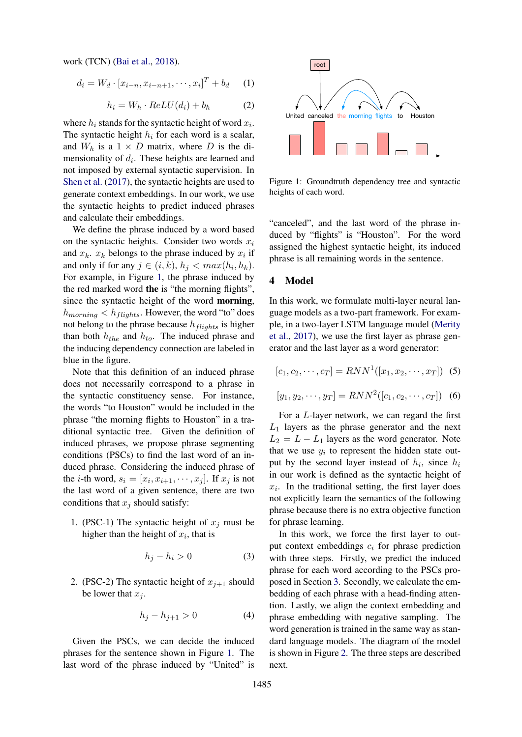work (TCN) [\(Bai et al.,](#page-8-2) [2018\)](#page-8-2).

$$
d_i = W_d \cdot [x_{i-n}, x_{i-n+1}, \cdots, x_i]^T + b_d \quad (1)
$$

$$
h_i = W_h \cdot ReLU(d_i) + b_h \tag{2}
$$

where  $h_i$  stands for the syntactic height of word  $x_i$ . The syntactic height  $h_i$  for each word is a scalar, and  $W_h$  is a  $1 \times D$  matrix, where D is the dimensionality of  $d_i$ . These heights are learned and not imposed by external syntactic supervision. In [Shen et al.](#page-9-3) [\(2017\)](#page-9-3), the syntactic heights are used to generate context embeddings. In our work, we use the syntactic heights to predict induced phrases and calculate their embeddings.

We define the phrase induced by a word based on the syntactic heights. Consider two words  $x_i$ and  $x_k$ .  $x_k$  belongs to the phrase induced by  $x_i$  if and only if for any  $j \in (i,k)$ ,  $h_j < max(h_i, h_k)$ . For example, in Figure [1,](#page-2-0) the phrase induced by the red marked word the is "the morning flights", since the syntactic height of the word morning,  $h_{morning} < h_{flights}$ . However, the word "to" does not belong to the phrase because  $h_{flights}$  is higher than both  $h_{the}$  and  $h_{to}$ . The induced phrase and the inducing dependency connection are labeled in blue in the figure.

Note that this definition of an induced phrase does not necessarily correspond to a phrase in the syntactic constituency sense. For instance, the words "to Houston" would be included in the phrase "the morning flights to Houston" in a traditional syntactic tree. Given the definition of induced phrases, we propose phrase segmenting conditions (PSCs) to find the last word of an induced phrase. Considering the induced phrase of the *i*-th word,  $s_i = [x_i, x_{i+1}, \dots, x_j]$ . If  $x_j$  is not the last word of a given sentence, there are two conditions that  $x_i$  should satisfy:

1. (PSC-1) The syntactic height of  $x_i$  must be higher than the height of  $x_i$ , that is

$$
h_j - h_i > 0 \tag{3}
$$

2. (PSC-2) The syntactic height of  $x_{i+1}$  should be lower that  $x_i$ .

$$
h_j - h_{j+1} > 0 \tag{4}
$$

Given the PSCs, we can decide the induced phrases for the sentence shown in Figure [1.](#page-2-0) The last word of the phrase induced by "United" is

<span id="page-2-0"></span>

Figure 1: Groundtruth dependency tree and syntactic heights of each word.

"canceled", and the last word of the phrase induced by "flights" is "Houston". For the word assigned the highest syntactic height, its induced phrase is all remaining words in the sentence.

#### 4 Model

In this work, we formulate multi-layer neural language models as a two-part framework. For example, in a two-layer LSTM language model [\(Merity](#page-9-0) [et al.,](#page-9-0) [2017\)](#page-9-0), we use the first layer as phrase generator and the last layer as a word generator:

<span id="page-2-1"></span>
$$
[c_1, c_2, \cdots, c_T] = RNN^1([x_1, x_2, \cdots, x_T]) \tag{5}
$$

$$
[y_1, y_2, \cdots, y_T] = RNN^2([c_1, c_2, \cdots, c_T]) \quad (6)
$$

For a L-layer network, we can regard the first  $L_1$  layers as the phrase generator and the next  $L_2 = L - L_1$  layers as the word generator. Note that we use  $y_i$  to represent the hidden state output by the second layer instead of  $h_i$ , since  $h_i$ in our work is defined as the syntactic height of  $x_i$ . In the traditional setting, the first layer does not explicitly learn the semantics of the following phrase because there is no extra objective function for phrase learning.

In this work, we force the first layer to output context embeddings  $c_i$  for phrase prediction with three steps. Firstly, we predict the induced phrase for each word according to the PSCs proposed in Section [3.](#page-1-0) Secondly, we calculate the embedding of each phrase with a head-finding attention. Lastly, we align the context embedding and phrase embedding with negative sampling. The word generation is trained in the same way as standard language models. The diagram of the model is shown in Figure [2.](#page-3-0) The three steps are described next.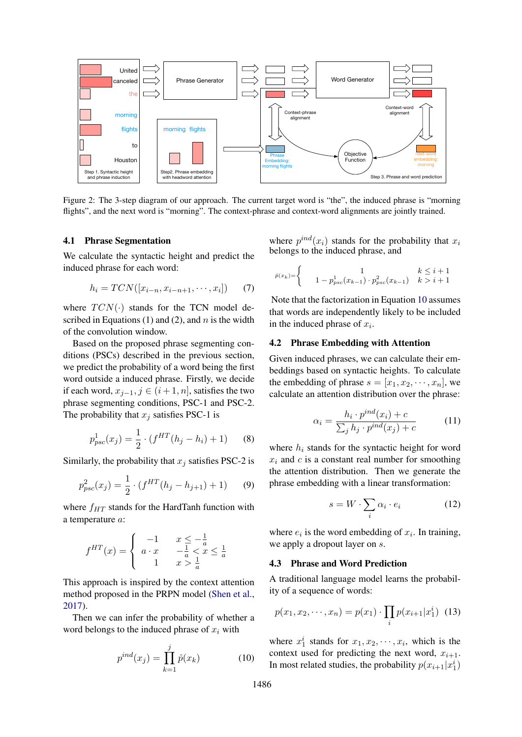<span id="page-3-0"></span>

Figure 2: The 3-step diagram of our approach. The current target word is "the", the induced phrase is "morning flights", and the next word is "morning". The context-phrase and context-word alignments are jointly trained.

#### 4.1 Phrase Segmentation

We calculate the syntactic height and predict the induced phrase for each word:

$$
h_i = TCN([x_{i-n}, x_{i-n+1}, \cdots, x_i]) \qquad (7)
$$

where  $TCN(\cdot)$  stands for the TCN model described in Equations (1) and (2), and  $n$  is the width of the convolution window.

Based on the proposed phrase segmenting conditions (PSCs) described in the previous section, we predict the probability of a word being the first word outside a induced phrase. Firstly, we decide if each word,  $x_{j-1}$ ,  $j \in (i+1, n]$ , satisfies the two phrase segmenting conditions, PSC-1 and PSC-2. The probability that  $x_i$  satisfies PSC-1 is

<span id="page-3-2"></span>
$$
p_{psc}^1(x_j) = \frac{1}{2} \cdot (f^{HT}(h_j - h_i) + 1)
$$
 (8)

Similarly, the probability that  $x_j$  satisfies PSC-2 is

$$
p_{psc}^2(x_j) = \frac{1}{2} \cdot (f^{HT}(h_j - h_{j+1}) + 1) \tag{9}
$$

where  $f_{HT}$  stands for the HardTanh function with a temperature a:

$$
f^{HT}(x) = \begin{cases} -1 & x \le -\frac{1}{a} \\ a \cdot x & -\frac{1}{a} < x \le \frac{1}{a} \\ 1 & x > \frac{1}{a} \end{cases}
$$

This approach is inspired by the context attention method proposed in the PRPN model [\(Shen et al.,](#page-9-3) [2017\)](#page-9-3).

Then we can infer the probability of whether a word belongs to the induced phrase of  $x_i$  with

<span id="page-3-1"></span>
$$
p^{ind}(x_j) = \prod_{k=1}^{j} \hat{p}(x_k)
$$
 (10)

where  $p^{ind}(x_i)$  stands for the probability that  $x_i$ belongs to the induced phrase, and

$$
\hat{p}(x_k) = \begin{cases}\n1 & k \leq i+1 \\
1 - p_{psc}^1(x_{k-1}) \cdot p_{psc}^2(x_{k-1}) & k > i+1\n\end{cases}
$$

Note that the factorization in Equation [10](#page-3-1) assumes that words are independently likely to be included in the induced phrase of  $x_i$ .

### 4.2 Phrase Embedding with Attention

Given induced phrases, we can calculate their embeddings based on syntactic heights. To calculate the embedding of phrase  $s = [x_1, x_2, \dots, x_n]$ , we calculate an attention distribution over the phrase:

<span id="page-3-3"></span>
$$
\alpha_i = \frac{h_i \cdot p^{ind}(x_i) + c}{\sum_j h_j \cdot p^{ind}(x_j) + c} \tag{11}
$$

where  $h_i$  stands for the syntactic height for word  $x_i$  and  $c$  is a constant real number for smoothing the attention distribution. Then we generate the phrase embedding with a linear transformation:

$$
s = W \cdot \sum_{i} \alpha_i \cdot e_i \tag{12}
$$

where  $e_i$  is the word embedding of  $x_i$ . In training, we apply a dropout layer on s.

#### 4.3 Phrase and Word Prediction

A traditional language model learns the probability of a sequence of words:

$$
p(x_1, x_2, \cdots, x_n) = p(x_1) \cdot \prod_i p(x_{i+1} | x_1^i) \tag{13}
$$

where  $x_1^i$  stands for  $x_1, x_2, \dots, x_i$ , which is the context used for predicting the next word,  $x_{i+1}$ . In most related studies, the probability  $p(x_{i+1}|x_1^i)$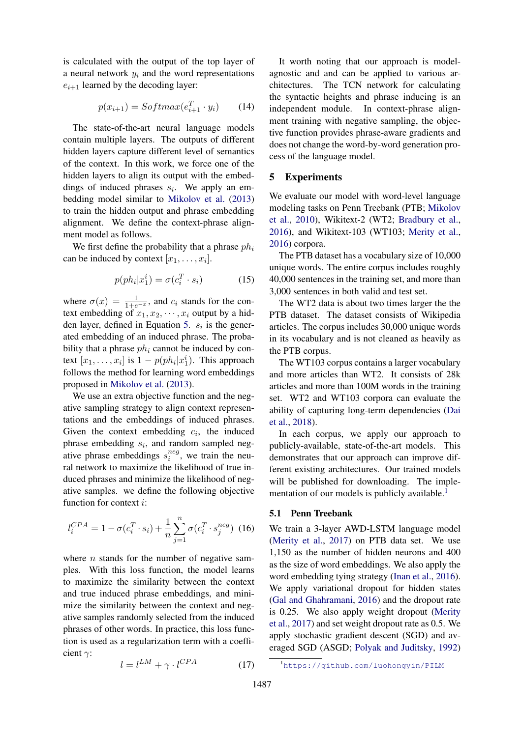is calculated with the output of the top layer of a neural network  $y_i$  and the word representations  $e_{i+1}$  learned by the decoding layer:

$$
p(x_{i+1}) = Softmax(e_{i+1}^T \cdot y_i)
$$
 (14)

The state-of-the-art neural language models contain multiple layers. The outputs of different hidden layers capture different level of semantics of the context. In this work, we force one of the hidden layers to align its output with the embeddings of induced phrases  $s_i$ . We apply an embedding model similar to [Mikolov et al.](#page-9-4) [\(2013\)](#page-9-4) to train the hidden output and phrase embedding alignment. We define the context-phrase alignment model as follows.

We first define the probability that a phrase  $ph<sub>i</sub>$ can be induced by context  $[x_1, \ldots, x_i]$ .

$$
p(ph_i|x_1^i) = \sigma(c_i^T \cdot s_i)
$$
 (15)

where  $\sigma(x) = \frac{1}{1+e^{-x}}$ , and  $c_i$  stands for the context embedding of  $x_1, x_2, \dots, x_i$  output by a hid-den layer, defined in Equation [5.](#page-2-1)  $s_i$  is the generated embedding of an induced phrase. The probability that a phrase  $ph<sub>i</sub>$  cannot be induced by context  $[x_1, \ldots, x_i]$  is  $1 - p(ph_i|x_1^i)$ . This approach follows the method for learning word embeddings proposed in [Mikolov et al.](#page-9-4) [\(2013\)](#page-9-4).

We use an extra objective function and the negative sampling strategy to align context representations and the embeddings of induced phrases. Given the context embedding  $c_i$ , the induced phrase embedding  $s_i$ , and random sampled negative phrase embeddings  $s_i^{neg}$  $i^{neg}$ , we train the neural network to maximize the likelihood of true induced phrases and minimize the likelihood of negative samples. we define the following objective function for context i:

$$
l_i^{CPA} = 1 - \sigma(c_i^T \cdot s_i) + \frac{1}{n} \sum_{j=1}^n \sigma(c_i^T \cdot s_j^{neg}) \tag{16}
$$

where  $n$  stands for the number of negative samples. With this loss function, the model learns to maximize the similarity between the context and true induced phrase embeddings, and minimize the similarity between the context and negative samples randomly selected from the induced phrases of other words. In practice, this loss function is used as a regularization term with a coefficient  $\gamma$ :

$$
l = l^{LM} + \gamma \cdot l^{CPA} \tag{17}
$$

It worth noting that our approach is modelagnostic and and can be applied to various architectures. The TCN network for calculating the syntactic heights and phrase inducing is an independent module. In context-phrase alignment training with negative sampling, the objective function provides phrase-aware gradients and does not change the word-by-word generation process of the language model.

## 5 Experiments

We evaluate our model with word-level language modeling tasks on Penn Treebank (PTB; [Mikolov](#page-9-7) [et al.,](#page-9-7) [2010\)](#page-9-7), Wikitext-2 (WT2; [Bradbury et al.,](#page-8-4) [2016\)](#page-8-4), and Wikitext-103 (WT103; [Merity et al.,](#page-9-19) [2016\)](#page-9-19) corpora.

The PTB dataset has a vocabulary size of 10,000 unique words. The entire corpus includes roughly 40,000 sentences in the training set, and more than 3,000 sentences in both valid and test set.

The WT2 data is about two times larger the the PTB dataset. The dataset consists of Wikipedia articles. The corpus includes 30,000 unique words in its vocabulary and is not cleaned as heavily as the PTB corpus.

The WT103 corpus contains a larger vocabulary and more articles than WT2. It consists of 28k articles and more than 100M words in the training set. WT2 and WT103 corpora can evaluate the ability of capturing long-term dependencies [\(Dai](#page-9-11) [et al.,](#page-9-11) [2018\)](#page-9-11).

In each corpus, we apply our approach to publicly-available, state-of-the-art models. This demonstrates that our approach can improve different existing architectures. Our trained models will be published for downloading. The imple-mentation of our models is publicly available.<sup>[1](#page-4-0)</sup>

## 5.1 Penn Treebank

We train a 3-layer AWD-LSTM language model [\(Merity et al.,](#page-9-0) [2017\)](#page-9-0) on PTB data set. We use 1,150 as the number of hidden neurons and 400 as the size of word embeddings. We also apply the word embedding tying strategy [\(Inan et al.,](#page-9-15) [2016\)](#page-9-15). We apply variational dropout for hidden states [\(Gal and Ghahramani,](#page-9-13) [2016\)](#page-9-13) and the dropout rate is 0.25. We also apply weight dropout [\(Merity](#page-9-0) [et al.,](#page-9-0) [2017\)](#page-9-0) and set weight dropout rate as 0.5. We apply stochastic gradient descent (SGD) and averaged SGD (ASGD; [Polyak and Juditsky,](#page-9-20) [1992\)](#page-9-20)

<span id="page-4-0"></span><sup>1</sup><https://github.com/luohongyin/PILM>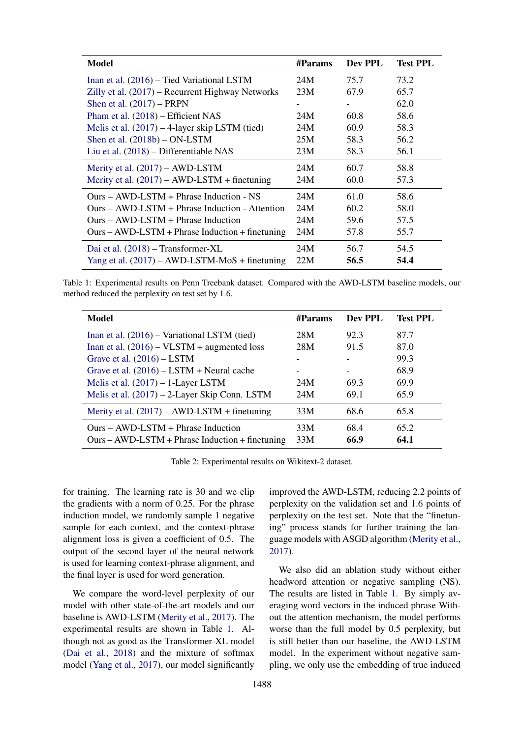<span id="page-5-0"></span>

| <b>Model</b>                                      | #Params | Dev PPL                  | <b>Test PPL</b> |
|---------------------------------------------------|---------|--------------------------|-----------------|
| Inan et al. (2016) – Tied Variational LSTM        | 24M     | 75.7                     | 73.2            |
| Zilly et al. (2017) – Recurrent Highway Networks  | 23M     | 67.9                     | 65.7            |
| Shen et al. $(2017)$ – PRPN                       |         | $\overline{\phantom{a}}$ | 62.0            |
| Pham et al. $(2018)$ – Efficient NAS              | 24M     | 60.8                     | 58.6            |
| Melis et al. $(2017) - 4$ -layer skip LSTM (tied) | 24M     | 60.9                     | 58.3            |
| Shen et al. $(2018b) - ON$ -LSTM                  | 25M     | 58.3                     | 56.2            |
| Liu et al. (2018) – Differentiable NAS            | 23M     | 58.3                     | 56.1            |
| Merity et al. $(2017) - AWD$ -LSTM                | 24M     | 60.7                     | 58.8            |
| Merity et al. $(2017)$ – AWD-LSTM + finetuning    | 24M     | 60.0                     | 57.3            |
| $Ours - AWD$ -LSTM + Phrase Induction - NS        | 24M     | 61.0                     | 58.6            |
| $Ours - AWD$ -LSTM + Phrase Induction - Attention | 24M     | 60.2                     | 58.0            |
| $Ours - AWD$ -LSTM + Phrase Induction             | 24M     | 59.6                     | 57.5            |
| $Ours - AWD-LSTM + Phrase Induction + finetuning$ | 24M     | 57.8                     | 55.7            |
| Dai et al. (2018) – Transformer-XL                | 24M     | 56.7                     | 54.5            |
| Yang et al. $(2017)$ – AWD-LSTM-MoS + finetuning  | 22M     | 56.5                     | 54.4            |

Table 1: Experimental results on Penn Treebank dataset. Compared with the AWD-LSTM baseline models, our method reduced the perplexity on test set by 1.6.

<span id="page-5-1"></span>

| Model                                             | #Params | Dev PPL | <b>Test PPL</b> |
|---------------------------------------------------|---------|---------|-----------------|
| Inan et al. $(2016)$ – Variational LSTM (tied)    | 28M     | 92.3    | 87.7            |
| Inan et al. $(2016)$ – VLSTM + augmented loss     | 28M     | 91.5    | 87.0            |
| Grave et al. $(2016)$ – LSTM                      |         |         | 99.3            |
| Grave et al. $(2016)$ – LSTM + Neural cache       |         |         | 68.9            |
| Melis et al. $(2017) - 1$ -Layer LSTM             | 24M     | 69.3    | 69.9            |
| Melis et al. (2017) – 2-Layer Skip Conn. LSTM     | 24M     | 69.1    | 65.9            |
| Merity et al. $(2017)$ – AWD-LSTM + finetuning    | 33M     | 68.6    | 65.8            |
| $Ours - AWD-LSTM + Phrase Induction$              | 33M     | 68.4    | 65.2            |
| $Ours - AWD-LSTM + Phrase Induction + finetuning$ | 33M     | 66.9    | 64.1            |

Table 2: Experimental results on Wikitext-2 dataset.

for training. The learning rate is 30 and we clip the gradients with a norm of 0.25. For the phrase induction model, we randomly sample 1 negative sample for each context, and the context-phrase alignment loss is given a coefficient of 0.5. The output of the second layer of the neural network is used for learning context-phrase alignment, and the final layer is used for word generation.

We compare the word-level perplexity of our model with other state-of-the-art models and our baseline is AWD-LSTM [\(Merity et al.,](#page-9-0) [2017\)](#page-9-0). The experimental results are shown in Table [1.](#page-5-0) Although not as good as the Transformer-XL model [\(Dai et al.,](#page-9-11) [2018\)](#page-9-11) and the mixture of softmax model [\(Yang et al.,](#page-9-6) [2017\)](#page-9-6), our model significantly

improved the AWD-LSTM, reducing 2.2 points of perplexity on the validation set and 1.6 points of perplexity on the test set. Note that the "finetuning" process stands for further training the language models with ASGD algorithm [\(Merity et al.,](#page-9-0) [2017\)](#page-9-0).

We also did an ablation study without either headword attention or negative sampling (NS). The results are listed in Table [1.](#page-5-0) By simply averaging word vectors in the induced phrase Without the attention mechanism, the model performs worse than the full model by 0.5 perplexity, but is still better than our baseline, the AWD-LSTM model. In the experiment without negative sampling, we only use the embedding of true induced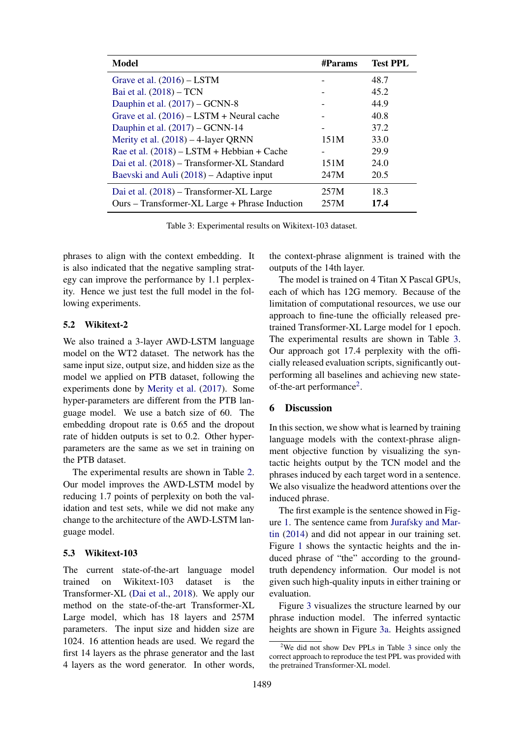<span id="page-6-0"></span>

| <b>Model</b>                                   | #Params | <b>Test PPL</b> |
|------------------------------------------------|---------|-----------------|
| Grave et al. $(2016)$ – LSTM                   |         | 48.7            |
| Bai et al. (2018) – TCN                        |         | 45.2            |
| Dauphin et al. (2017) - GCNN-8                 |         | 44.9            |
| Grave et al. $(2016)$ – LSTM + Neural cache    |         | 40.8            |
| Dauphin et al. $(2017)$ – GCNN-14              |         | 37.2            |
| Merity et al. $(2018) - 4$ -layer QRNN         | 151M    | 33.0            |
| Rae et al. $(2018)$ – LSTM + Hebbian + Cache   |         | 29.9            |
| Dai et al. (2018) – Transformer-XL Standard    | 151M    | 24.0            |
| Baevski and Auli (2018) – Adaptive input       | 247M    | 20.5            |
| Dai et al. (2018) – Transformer-XL Large       | 257M    | 18.3            |
| Ours – Transformer-XL Large + Phrase Induction | 257M    | 17.4            |

Table 3: Experimental results on Wikitext-103 dataset.

phrases to align with the context embedding. It is also indicated that the negative sampling strategy can improve the performance by 1.1 perplexity. Hence we just test the full model in the following experiments.

## 5.2 Wikitext-2

We also trained a 3-layer AWD-LSTM language model on the WT2 dataset. The network has the same input size, output size, and hidden size as the model we applied on PTB dataset, following the experiments done by [Merity et al.](#page-9-0) [\(2017\)](#page-9-0). Some hyper-parameters are different from the PTB language model. We use a batch size of 60. The embedding dropout rate is 0.65 and the dropout rate of hidden outputs is set to 0.2. Other hyperparameters are the same as we set in training on the PTB dataset.

The experimental results are shown in Table [2.](#page-5-1) Our model improves the AWD-LSTM model by reducing 1.7 points of perplexity on both the validation and test sets, while we did not make any change to the architecture of the AWD-LSTM language model.

#### 5.3 Wikitext-103

The current state-of-the-art language model trained on Wikitext-103 dataset is the Transformer-XL [\(Dai et al.,](#page-9-11) [2018\)](#page-9-11). We apply our method on the state-of-the-art Transformer-XL Large model, which has 18 layers and 257M parameters. The input size and hidden size are 1024. 16 attention heads are used. We regard the first 14 layers as the phrase generator and the last 4 layers as the word generator. In other words,

the context-phrase alignment is trained with the outputs of the 14th layer.

The model is trained on 4 Titan X Pascal GPUs, each of which has 12G memory. Because of the limitation of computational resources, we use our approach to fine-tune the officially released pretrained Transformer-XL Large model for 1 epoch. The experimental results are shown in Table [3.](#page-6-0) Our approach got 17.4 perplexity with the officially released evaluation scripts, significantly outperforming all baselines and achieving new state-of-the-art performance<sup>[2](#page-6-1)</sup>.

## 6 Discussion

In this section, we show what is learned by training language models with the context-phrase alignment objective function by visualizing the syntactic heights output by the TCN model and the phrases induced by each target word in a sentence. We also visualize the headword attentions over the induced phrase.

The first example is the sentence showed in Figure [1.](#page-2-0) The sentence came from [Jurafsky and Mar](#page-9-26)[tin](#page-9-26) [\(2014\)](#page-9-26) and did not appear in our training set. Figure [1](#page-2-0) shows the syntactic heights and the induced phrase of "the" according to the groundtruth dependency information. Our model is not given such high-quality inputs in either training or evaluation.

Figure [3](#page-7-0) visualizes the structure learned by our phrase induction model. The inferred syntactic heights are shown in Figure [3a.](#page-7-0) Heights assigned

<span id="page-6-1"></span><sup>&</sup>lt;sup>2</sup>We did not show Dev PPLs in Table [3](#page-6-0) since only the correct approach to reproduce the test PPL was provided with the pretrained Transformer-XL model.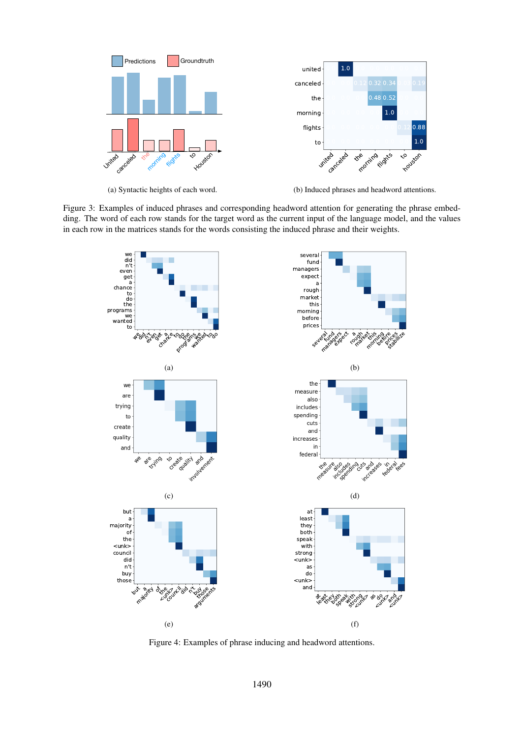<span id="page-7-0"></span>

(a) Syntactic heights of each word.

(b) Induced phrases and headword attentions.

<span id="page-7-1"></span>Figure 3: Examples of induced phrases and corresponding headword attention for generating the phrase embedding. The word of each row stands for the target word as the current input of the language model, and the values in each row in the matrices stands for the words consisting the induced phrase and their weights.



Figure 4: Examples of phrase inducing and headword attentions.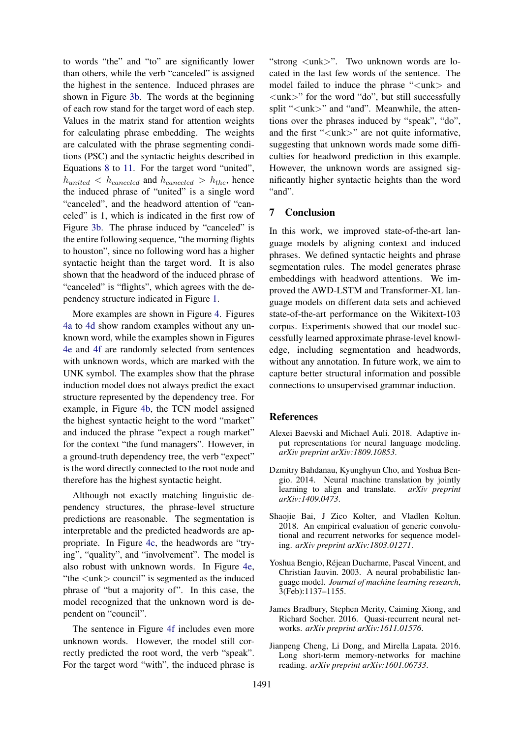to words "the" and "to" are significantly lower than others, while the verb "canceled" is assigned the highest in the sentence. Induced phrases are shown in Figure [3b.](#page-7-0) The words at the beginning of each row stand for the target word of each step. Values in the matrix stand for attention weights for calculating phrase embedding. The weights are calculated with the phrase segmenting conditions (PSC) and the syntactic heights described in Equations [8](#page-3-2) to [11.](#page-3-3) For the target word "united",  $h_{united} < h_{canceled}$  and  $h_{canceled} > h_{the}$ , hence the induced phrase of "united" is a single word "canceled", and the headword attention of "canceled" is 1, which is indicated in the first row of Figure [3b.](#page-7-0) The phrase induced by "canceled" is the entire following sequence, "the morning flights to houston", since no following word has a higher syntactic height than the target word. It is also shown that the headword of the induced phrase of "canceled" is "flights", which agrees with the dependency structure indicated in Figure [1.](#page-2-0)

More examples are shown in Figure [4.](#page-7-1) Figures [4a](#page-7-1) to [4d](#page-7-1) show random examples without any unknown word, while the examples shown in Figures [4e](#page-7-1) and [4f](#page-7-1) are randomly selected from sentences with unknown words, which are marked with the UNK symbol. The examples show that the phrase induction model does not always predict the exact structure represented by the dependency tree. For example, in Figure [4b,](#page-7-1) the TCN model assigned the highest syntactic height to the word "market" and induced the phrase "expect a rough market" for the context "the fund managers". However, in a ground-truth dependency tree, the verb "expect" is the word directly connected to the root node and therefore has the highest syntactic height.

Although not exactly matching linguistic dependency structures, the phrase-level structure predictions are reasonable. The segmentation is interpretable and the predicted headwords are appropriate. In Figure [4c,](#page-7-1) the headwords are "trying", "quality", and "involvement". The model is also robust with unknown words. In Figure [4e,](#page-7-1) "the <unk> council" is segmented as the induced phrase of "but a majority of". In this case, the model recognized that the unknown word is dependent on "council".

The sentence in Figure [4f](#page-7-1) includes even more unknown words. However, the model still correctly predicted the root word, the verb "speak". For the target word "with", the induced phrase is

"strong  $\langle$ unk $>$ ". Two unknown words are located in the last few words of the sentence. The model failed to induce the phrase "<unk> and <unk>" for the word "do", but still successfully split "<unk>" and "and". Meanwhile, the attentions over the phrases induced by "speak", "do", and the first "<unk>" are not quite informative, suggesting that unknown words made some difficulties for headword prediction in this example. However, the unknown words are assigned significantly higher syntactic heights than the word "and".

## 7 Conclusion

In this work, we improved state-of-the-art language models by aligning context and induced phrases. We defined syntactic heights and phrase segmentation rules. The model generates phrase embeddings with headword attentions. We improved the AWD-LSTM and Transformer-XL language models on different data sets and achieved state-of-the-art performance on the Wikitext-103 corpus. Experiments showed that our model successfully learned approximate phrase-level knowledge, including segmentation and headwords, without any annotation. In future work, we aim to capture better structural information and possible connections to unsupervised grammar induction.

#### **References**

- <span id="page-8-5"></span>Alexei Baevski and Michael Auli. 2018. Adaptive input representations for neural language modeling. *arXiv preprint arXiv:1809.10853*.
- <span id="page-8-1"></span>Dzmitry Bahdanau, Kyunghyun Cho, and Yoshua Bengio. 2014. Neural machine translation by jointly learning to align and translate. *arXiv preprint arXiv:1409.0473*.
- <span id="page-8-2"></span>Shaojie Bai, J Zico Kolter, and Vladlen Koltun. 2018. An empirical evaluation of generic convolutional and recurrent networks for sequence modeling. *arXiv preprint arXiv:1803.01271*.
- <span id="page-8-0"></span>Yoshua Bengio, Rejean Ducharme, Pascal Vincent, and ´ Christian Jauvin. 2003. A neural probabilistic language model. *Journal of machine learning research*, 3(Feb):1137–1155.
- <span id="page-8-4"></span>James Bradbury, Stephen Merity, Caiming Xiong, and Richard Socher. 2016. Quasi-recurrent neural networks. *arXiv preprint arXiv:1611.01576*.
- <span id="page-8-3"></span>Jianpeng Cheng, Li Dong, and Mirella Lapata. 2016. Long short-term memory-networks for machine reading. *arXiv preprint arXiv:1601.06733*.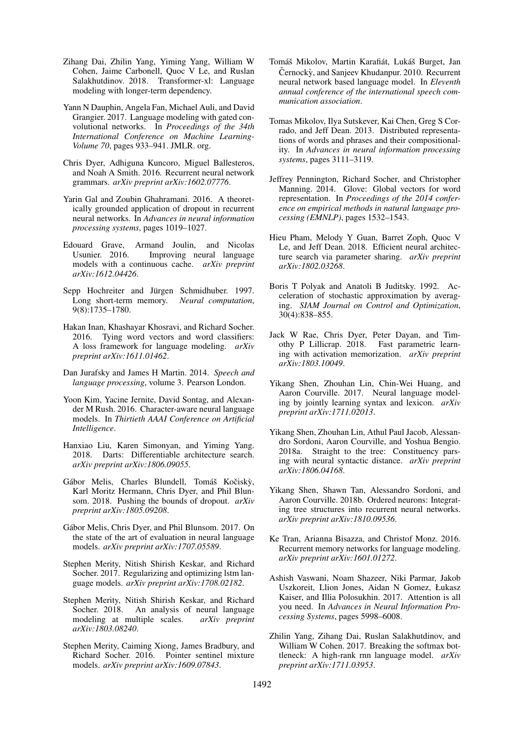- <span id="page-9-11"></span>Zihang Dai, Zhilin Yang, Yiming Yang, William W Cohen, Jaime Carbonell, Quoc V Le, and Ruslan Salakhutdinov. 2018. Transformer-xl: Language modeling with longer-term dependency.
- <span id="page-9-8"></span>Yann N Dauphin, Angela Fan, Michael Auli, and David Grangier. 2017. Language modeling with gated convolutional networks. In *Proceedings of the 34th International Conference on Machine Learning-Volume 70*, pages 933–941. JMLR. org.
- <span id="page-9-17"></span>Chris Dyer, Adhiguna Kuncoro, Miguel Ballesteros, and Noah A Smith. 2016. Recurrent neural network grammars. *arXiv preprint arXiv:1602.07776*.
- <span id="page-9-13"></span>Yarin Gal and Zoubin Ghahramani. 2016. A theoretically grounded application of dropout in recurrent neural networks. In *Advances in neural information processing systems*, pages 1019–1027.
- <span id="page-9-16"></span>Edouard Grave, Armand Joulin, and Nicolas<br>Usunier, 2016. Improving neural language Improving neural language models with a continuous cache. *arXiv preprint arXiv:1612.04426*.
- <span id="page-9-2"></span>Sepp Hochreiter and Jürgen Schmidhuber. 1997. Long short-term memory. *Neural computation*, 9(8):1735–1780.
- <span id="page-9-15"></span>Hakan Inan, Khashayar Khosravi, and Richard Socher. 2016. Tying word vectors and word classifiers: A loss framework for language modeling. *arXiv preprint arXiv:1611.01462*.
- <span id="page-9-26"></span>Dan Jurafsky and James H Martin. 2014. *Speech and language processing*, volume 3. Pearson London.
- <span id="page-9-12"></span>Yoon Kim, Yacine Jernite, David Sontag, and Alexander M Rush. 2016. Character-aware neural language models. In *Thirtieth AAAI Conference on Artificial Intelligence*.
- <span id="page-9-23"></span>Hanxiao Liu, Karen Simonyan, and Yiming Yang. 2018. Darts: Differentiable architecture search. *arXiv preprint arXiv:1806.09055*.
- <span id="page-9-14"></span>Gábor Melis, Charles Blundell, Tomáš Kočiský, Karl Moritz Hermann, Chris Dyer, and Phil Blunsom. 2018. Pushing the bounds of dropout. *arXiv preprint arXiv:1805.09208*.
- <span id="page-9-1"></span>Gábor Melis, Chris Dyer, and Phil Blunsom. 2017. On the state of the art of evaluation in neural language models. *arXiv preprint arXiv:1707.05589*.
- <span id="page-9-0"></span>Stephen Merity, Nitish Shirish Keskar, and Richard Socher. 2017. Regularizing and optimizing lstm language models. *arXiv preprint arXiv:1708.02182*.
- <span id="page-9-24"></span>Stephen Merity, Nitish Shirish Keskar, and Richard Socher. 2018. An analysis of neural language modeling at multiple scales. *arXiv preprint arXiv:1803.08240*.
- <span id="page-9-19"></span>Stephen Merity, Caiming Xiong, James Bradbury, and Richard Socher. 2016. Pointer sentinel mixture models. *arXiv preprint arXiv:1609.07843*.
- <span id="page-9-7"></span>Tomáš Mikolov, Martin Karafiát, Lukáš Burget, Jan Černockỳ, and Sanjeev Khudanpur. 2010. Recurrent neural network based language model. In *Eleventh annual conference of the international speech communication association*.
- <span id="page-9-4"></span>Tomas Mikolov, Ilya Sutskever, Kai Chen, Greg S Corrado, and Jeff Dean. 2013. Distributed representations of words and phrases and their compositionality. In *Advances in neural information processing systems*, pages 3111–3119.
- <span id="page-9-5"></span>Jeffrey Pennington, Richard Socher, and Christopher Manning. 2014. Glove: Global vectors for word representation. In *Proceedings of the 2014 conference on empirical methods in natural language processing (EMNLP)*, pages 1532–1543.
- <span id="page-9-21"></span>Hieu Pham, Melody Y Guan, Barret Zoph, Quoc V Le, and Jeff Dean. 2018. Efficient neural architecture search via parameter sharing. *arXiv preprint arXiv:1802.03268*.
- <span id="page-9-20"></span>Boris T Polyak and Anatoli B Juditsky. 1992. Acceleration of stochastic approximation by averaging. *SIAM Journal on Control and Optimization*, 30(4):838–855.
- <span id="page-9-25"></span>Jack W Rae, Chris Dyer, Peter Dayan, and Timothy P Lillicrap. 2018. Fast parametric learning with activation memorization. *arXiv preprint arXiv:1803.10049*.
- <span id="page-9-3"></span>Yikang Shen, Zhouhan Lin, Chin-Wei Huang, and Aaron Courville. 2017. Neural language modeling by jointly learning syntax and lexicon. *arXiv preprint arXiv:1711.02013*.
- <span id="page-9-18"></span>Yikang Shen, Zhouhan Lin, Athul Paul Jacob, Alessandro Sordoni, Aaron Courville, and Yoshua Bengio. 2018a. Straight to the tree: Constituency parsing with neural syntactic distance. *arXiv preprint arXiv:1806.04168*.
- <span id="page-9-22"></span>Yikang Shen, Shawn Tan, Alessandro Sordoni, and Aaron Courville. 2018b. Ordered neurons: Integrating tree structures into recurrent neural networks. *arXiv preprint arXiv:1810.09536*.
- <span id="page-9-9"></span>Ke Tran, Arianna Bisazza, and Christof Monz. 2016. Recurrent memory networks for language modeling. *arXiv preprint arXiv:1601.01272*.
- <span id="page-9-10"></span>Ashish Vaswani, Noam Shazeer, Niki Parmar, Jakob Uszkoreit, Llion Jones, Aidan N Gomez, Łukasz Kaiser, and Illia Polosukhin. 2017. Attention is all you need. In *Advances in Neural Information Processing Systems*, pages 5998–6008.
- <span id="page-9-6"></span>Zhilin Yang, Zihang Dai, Ruslan Salakhutdinov, and William W Cohen. 2017. Breaking the softmax bottleneck: A high-rank rnn language model. *arXiv preprint arXiv:1711.03953*.